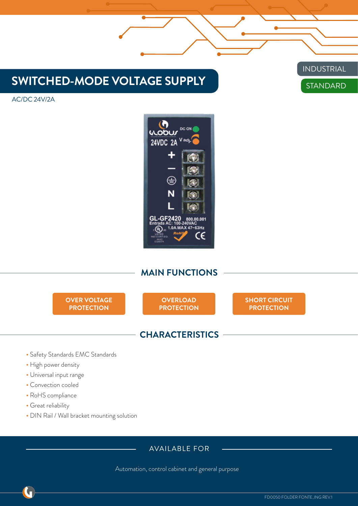## **SWITCHED-MODE VOLTAGE SUPPLY**

## **STANDARD** INDUSTRIAL

AC/DC 24V/2A



### **MAIN FUNCTIONS**

**OVER VOLTAGE PROTECTION**

**OVERLOAD PROTECTION** **SHORT CIRCUIT PROTECTION**

#### **CHARACTERISTICS**

- Safety Standards EMC Standards
- High power density
- Universal input range
- Convection cooled
- RoHS compliance
- Great reliability
- DIN Rail / Wall bracket mounting solution

#### AVAILABLE FOR

Automation, control cabinet and general purpose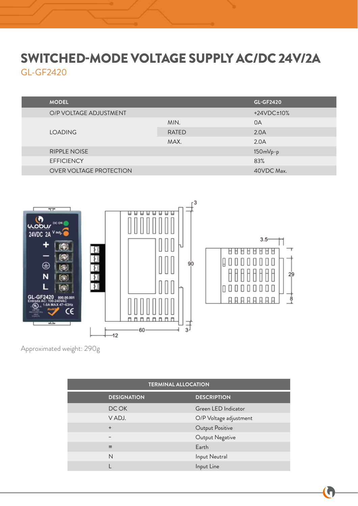# SWITCHED-MODE VOLTAGE SUPPLY AC/DC 24V/2A GL-GF2420

| <b>MODEL</b>                   |              | <b>GL-GF2420</b> |
|--------------------------------|--------------|------------------|
| O/P VOLTAGE ADJUSTMENT         |              | $+24VDC\pm10%$   |
| <b>LOADING</b>                 | MIN.         | 0A               |
|                                | <b>RATED</b> | 2.0A             |
|                                | MAX.         | 2.0A             |
| <b>RIPPLE NOISE</b>            |              | $150mVp-p$       |
| <b>EFFICIENCY</b>              |              | 83%              |
| <b>OVER VOLTAGE PROTECTION</b> |              | 40VDC Max.       |



Approximated weight: 290g

| <b>TERMINAL ALLOCATION</b> |                        |  |  |
|----------------------------|------------------------|--|--|
| <b>DESIGNATION</b>         | <b>DESCRIPTION</b>     |  |  |
| DC OK                      | Green LED Indicator    |  |  |
| V ADJ.                     | O/P Voltage adjustment |  |  |
| $\ddot{}$                  | Output Positive        |  |  |
|                            | Output Negative        |  |  |
| $\equiv$                   | Earth                  |  |  |
| N                          | Input Neutral          |  |  |
|                            | Input Line             |  |  |